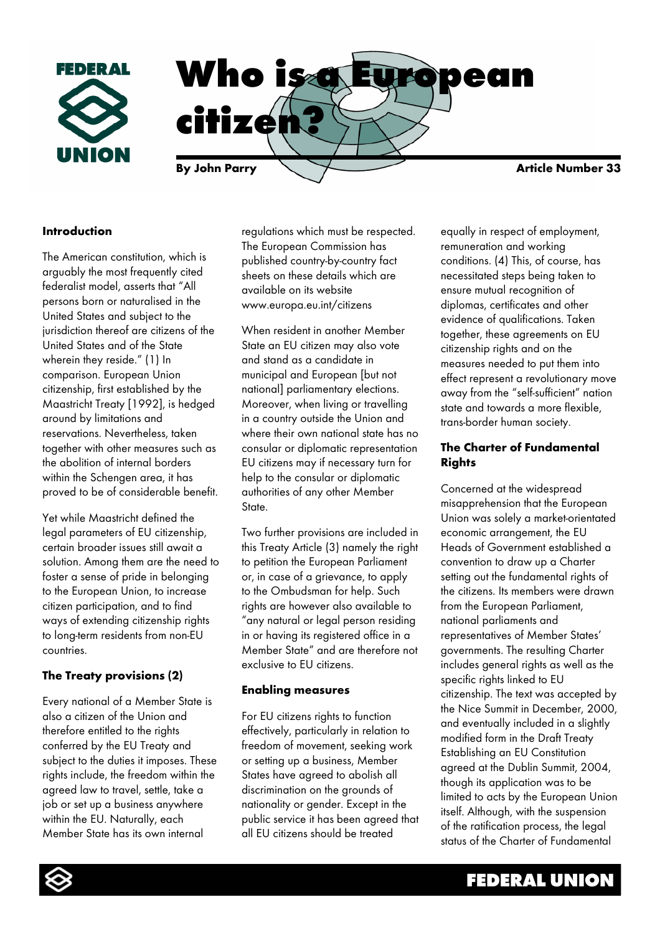

## **Introduction**

The American constitution, which is arguably the most frequently cited federalist model, asserts that "All persons born or naturalised in the United States and subject to the jurisdiction thereof are citizens of the United States and of the State wherein they reside." (1) In comparison. European Union citizenship, first established by the Maastricht Treaty [1992], is hedged around by limitations and reservations. Nevertheless, taken together with other measures such as the abolition of internal borders within the Schengen area, it has proved to be of considerable benefit.

Yet while Maastricht defined the legal parameters of EU citizenship, certain broader issues still await a solution. Among them are the need to foster a sense of pride in belonging to the European Union, to increase citizen participation, and to find ways of extending citizenship rights to long-term residents from non-EU countries.

## **The Treaty provisions (2)**

Every national of a Member State is also a citizen of the Union and therefore entitled to the rights conferred by the EU Treaty and subject to the duties it imposes. These rights include, the freedom within the agreed law to travel, settle, take a job or set up a business anywhere within the EU. Naturally, each Member State has its own internal

regulations which must be respected. The European Commission has published country-by-country fact sheets on these details which are available on its website www.europa.eu.int/citizens

When resident in another Member State an EU citizen may also vote and stand as a candidate in municipal and European [but not national] parliamentary elections. Moreover, when living or travelling in a country outside the Union and where their own national state has no consular or diplomatic representation EU citizens may if necessary turn for help to the consular or diplomatic authorities of any other Member State.

Two further provisions are included in this Treaty Article (3) namely the right to petition the European Parliament or, in case of a grievance, to apply to the Ombudsman for help. Such rights are however also available to "any natural or legal person residing in or having its registered office in a Member State" and are therefore not exclusive to EU citizens.

### **Enabling measures**

For EU citizens rights to function effectively, particularly in relation to freedom of movement, seeking work or setting up a business, Member States have agreed to abolish all discrimination on the grounds of nationality or gender. Except in the public service it has been agreed that all EU citizens should be treated

equally in respect of employment, remuneration and working conditions. (4) This, of course, has necessitated steps being taken to ensure mutual recognition of diplomas, certificates and other evidence of qualifications. Taken together, these agreements on EU citizenship rights and on the measures needed to put them into effect represent a revolutionary move away from the "self-sufficient" nation state and towards a more flexible, trans-border human society.

## **The Charter of Fundamental Rights**

Concerned at the widespread misapprehension that the European Union was solely a market-orientated economic arrangement, the EU Heads of Government established a convention to draw up a Charter setting out the fundamental rights of the citizens. Its members were drawn from the European Parliament, national parliaments and representatives of Member States' governments. The resulting Charter includes general rights as well as the specific rights linked to EU citizenship. The text was accepted by the Nice Summit in December, 2000, and eventually included in a slightly modified form in the Draft Treaty Establishing an EU Constitution agreed at the Dublin Summit, 2004, though its application was to be limited to acts by the European Union itself. Although, with the suspension of the ratification process, the legal status of the Charter of Fundamental

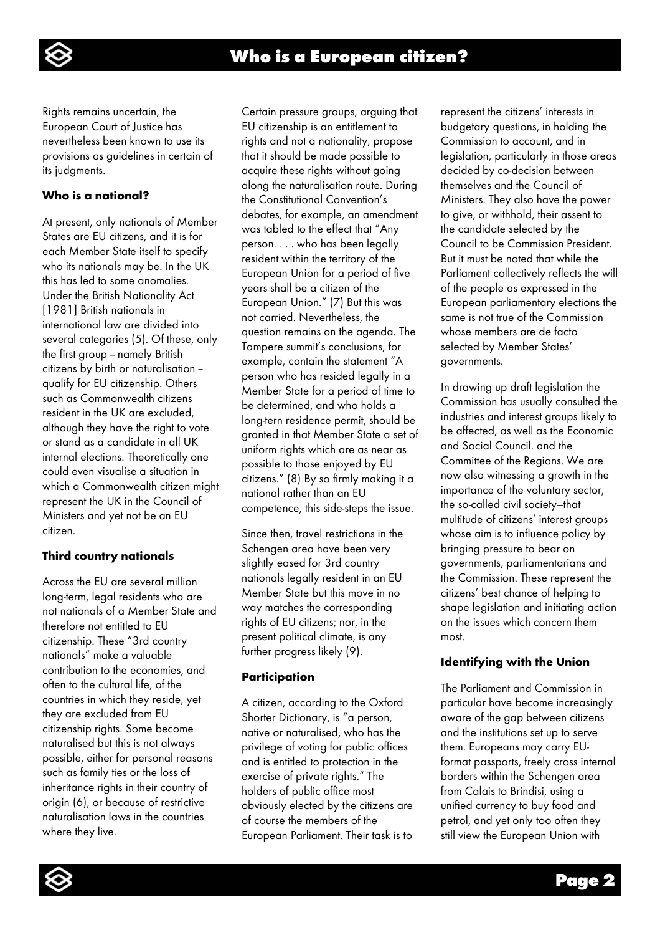

Rights remains uncertain, the European Court of Justice has nevertheless been known to use its provisions as guidelines in certain of its judgments.

## **Who is a national?**

At present, only nationals of Member States are EU citizens, and it is for each Member State itself to specify who its nationals may be. In the UK this has led to some anomalies. Under the British Nationality Act [1981] British nationals in international law are divided into several categories (5). Of these, only the first group - namely British citizens by birth or naturalisation - qualify for EU citizenship. Others such as Commonwealth citizens resident in the UK are excluded, although they have the right to vote or stand as a candidate in all UK internal elections. Theoretically one could even visualise a situation in which a Commonwealth citizen might represent the UK in the Council of Ministers and yet not be an EU citizen.

## **Third country nationals**

Across the EU are several million long-term, legal residents who are not nationals of a Member State and therefore not entitled to EU citizenship. These "3rd country nationals" make a valuable contribution to the economies, and often to the cultural life, of the countries in which they reside, yet they are excluded from EU citizenship rights. Some become naturalised but this is not always possible, either for personal reasons such as family ties or the loss of inheritance rights in their country of origin (6), or because of restrictive naturalisation laws in the countries where they live.

Certain pressure groups, arguing that EU citizenship is an entitlement to rights and not a nationality, propose that it should be made possible to acquire these rights without going along the naturalisation route. During the Constitutional Convention's debates, for example, an amendment was tabled to the effect that "Any person. . . . who has been legally resident within the territory of the European Union for a period of five years shall be a citizen of the European Union." (7) But this was not carried. Nevertheless, the question remains on the agenda. The Tampere summit's conclusions, for example, contain the statement "A person who has resided legally in a Member State for a period of time to be determined, and who holds a long-tern residence permit, should be granted in that Member State a set of uniform rights which are as near as possible to those enjoyed by EU citizens." (8) By so firmly making it a national rather than an EU competence, this side-steps the issue.

Since then, travel restrictions in the Schengen area have been very slightly eased for 3rd country nationals legally resident in an EU Member State but this move in no way matches the corresponding rights of EU citizens; nor, in the present political climate, is any further progress likely (9).

## **Participation**

A citizen, according to the Oxford Shorter Dictionary, is "a person, native or naturalised, who has the privilege of voting for public offices and is entitled to protection in the exercise of private rights." The holders of public office most obviously elected by the citizens are of course the members of the European Parliament. Their task is to represent the citizens' interests in budgetary questions, in holding the Commission to account, and in legislation, particularly in those areas decided by co-decision between themselves and the Council of Ministers. They also have the power to give, or withhold, their assent to the candidate selected by the Council to be Commission President. But it must be noted that while the Parliament collectively reflects the will of the people as expressed in the European parliamentary elections the same is not true of the Commission whose members are de facto selected by Member States' governments.

In drawing up draft legislation the Commission has usually consulted the industries and interest groups likely to be affected, as well as the Economic and Social Council. and the Committee of the Regions. We are now also witnessing a growth in the importance of the voluntary sector, the so-called civil society—that multitude of citizens' interest groups whose aim is to influence policy by bringing pressure to bear on governments, parliamentarians and the Commission. These represent the citizens' best chance of helping to shape legislation and initiating action on the issues which concern them most.

## **Identifying with the Union**

The Parliament and Commission in particular have become increasingly aware of the gap between citizens and the institutions set up to serve them. Europeans may carry EUformat passports, freely cross internal borders within the Schengen area from Calais to Brindisi, using a unified currency to buy food and petrol, and yet only too often they still view the European Union with